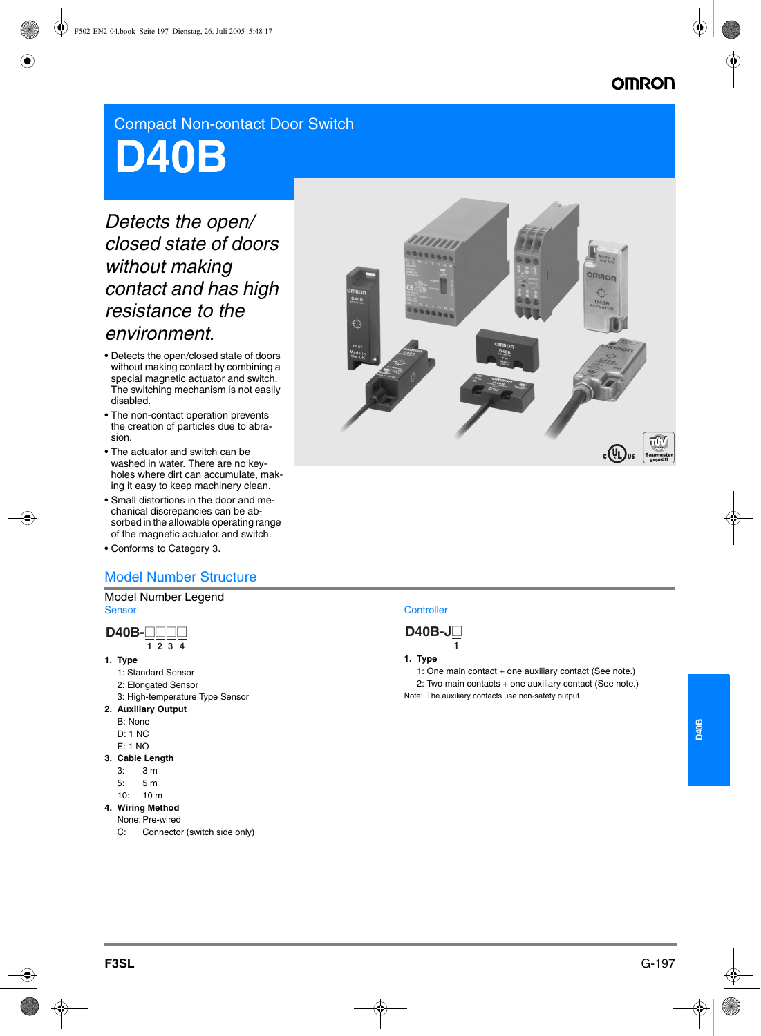# **OMRON**

Compact Non-contact Door Switch

# **D40B**

# *Detects the open/ closed state of doors without making contact and has high resistance to the environment.*

- Detects the open/closed state of doors without making contact by combining a special magnetic actuator and switch. The switching mechanism is not easily disabled.
- The non-contact operation prevents the creation of particles due to abrasion.
- The actuator and switch can be washed in water. There are no keyholes where dirt can accumulate, making it easy to keep machinery clean.
- Small distortions in the door and mechanical discrepancies can be absorbed in the allowable operating range of the magnetic actuator and switch.
- Conforms to Category 3.

# Model Number Structure

#### Model Number Legend **Sensor**



- **1. Type**
	- 1: Standard Sensor
	- 2: Elongated Sensor
	- 3: High-temperature Type Sensor
- **2. Auxiliary Output**
	- B: None
	- D: 1 NC
- E: 1 NO
- **3. Cable Length**
	- 3: 3 m
	- 5: 5 m
	- 10: 10 m
- **4. Wiring Method** None: Pre-wired
	- C: Connector (switch side only)



# **Controller**



# **1. Type**

- 1: One main contact + one auxiliary contact (See note.) 2: Two main contacts + one auxiliary contact (See note.)
- Note: The auxiliary contacts use non-safety output.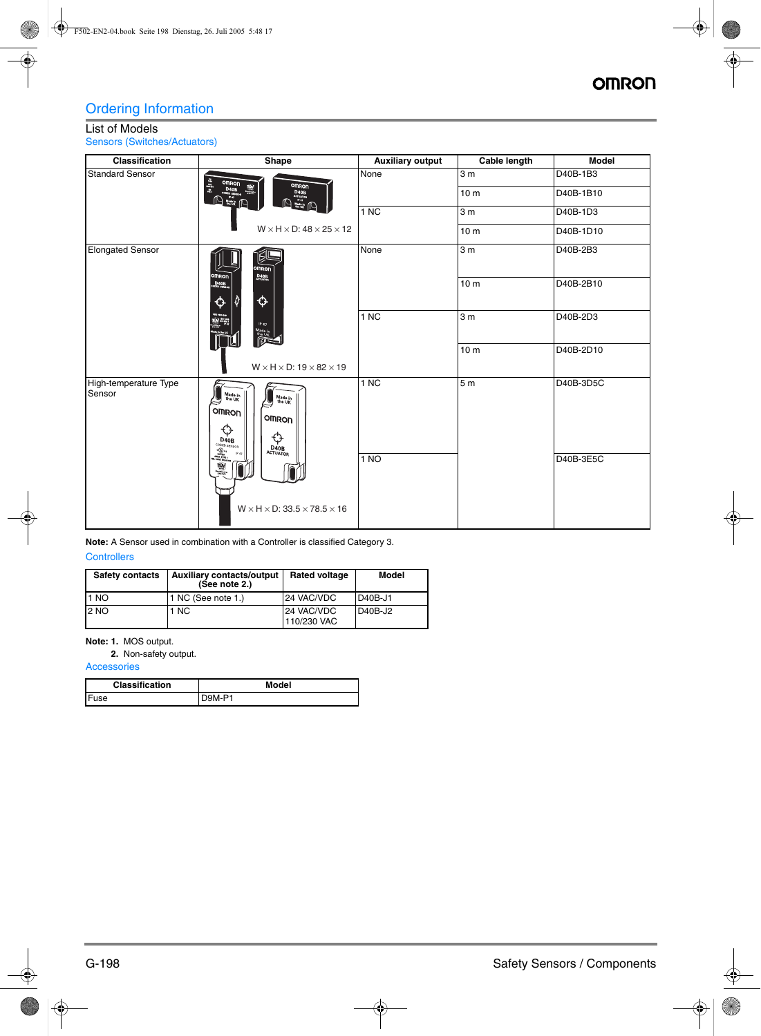# Ordering Information

# List of Models

Sensors (Switches/Actuators)

| <b>Classification</b>           | Shape                                                                                                                                                                                                                                                                                                                                                                                                                                           | <b>Auxiliary output</b> | Cable length    | <b>Model</b> |
|---------------------------------|-------------------------------------------------------------------------------------------------------------------------------------------------------------------------------------------------------------------------------------------------------------------------------------------------------------------------------------------------------------------------------------------------------------------------------------------------|-------------------------|-----------------|--------------|
| <b>Standard Sensor</b>          | $\frac{1}{2}$<br><b>OMRON</b>                                                                                                                                                                                                                                                                                                                                                                                                                   | None                    | 3 <sub>m</sub>  | D40B-1B3     |
|                                 | D ROD DAOB (<br>Q<br>$\begin{picture}(120,110) \put(0,0){\line(1,0){10}} \put(15,0){\line(1,0){10}} \put(15,0){\line(1,0){10}} \put(15,0){\line(1,0){10}} \put(15,0){\line(1,0){10}} \put(15,0){\line(1,0){10}} \put(15,0){\line(1,0){10}} \put(15,0){\line(1,0){10}} \put(15,0){\line(1,0){10}} \put(15,0){\line(1,0){10}} \put(15,0){\line(1,0){10}} \put(15,0){\line$<br>ſЦ                                                                  |                         | 10 <sub>m</sub> | D40B-1B10    |
|                                 |                                                                                                                                                                                                                                                                                                                                                                                                                                                 | 1 NC                    | 3 <sub>m</sub>  | D40B-1D3     |
|                                 | $W \times H \times D$ : 48 $\times$ 25 $\times$ 12                                                                                                                                                                                                                                                                                                                                                                                              |                         | 10 <sub>m</sub> | D40B-1D10    |
| <b>Elongated Sensor</b>         | Į₫<br><b>OMRON</b><br><b>OMRON</b>                                                                                                                                                                                                                                                                                                                                                                                                              | None                    | 3 <sub>m</sub>  | D40B-2B3     |
|                                 | $D_{40B}$<br>D40B<br>♦<br>↔<br><b>WH</b><br>IP 67<br>$\begin{array}{c}\n\text{Mado in} \\ \text{the UK} \\ \hline\n\end{array}$<br>$W \times H \times D$ : 19 $\times$ 82 $\times$ 19                                                                                                                                                                                                                                                           |                         | 10 <sub>m</sub> | D40B-2B10    |
|                                 |                                                                                                                                                                                                                                                                                                                                                                                                                                                 | 1 NC                    | 3 <sub>m</sub>  | D40B-2D3     |
|                                 |                                                                                                                                                                                                                                                                                                                                                                                                                                                 |                         | 10 <sub>m</sub> | D40B-2D10    |
| High-temperature Type<br>Sensor | Made in<br>the UK<br>Made in<br>the UK<br>OMRON<br>OMRON<br>↔<br>¢<br>D40B<br>D40B<br>ACTUATOR                                                                                                                                                                                                                                                                                                                                                  | 1 NC                    | 5 <sub>m</sub>  | D40B-3D5C    |
|                                 | $\begin{picture}(120,115)(-0.000,0.000) \put(0,0){\line(1,0){15}} \put(0,0){\line(1,0){15}} \put(0,0){\line(1,0){15}} \put(0,0){\line(1,0){15}} \put(0,0){\line(1,0){15}} \put(0,0){\line(1,0){15}} \put(0,0){\line(1,0){15}} \put(0,0){\line(1,0){15}} \put(0,0){\line(1,0){15}} \put(0,0){\line(1,0){15}} \put(0,0){\line(1,0){15}} \put(0,0){$<br>IP 67<br>$\overline{\mathbf{w}}$<br>$W \times H \times D$ : 33.5 $\times$ 78.5 $\times$ 16 | 1 NO                    | D40B-3E5C       |              |

**Note:** A Sensor used in combination with a Controller is classified Category 3.

| <b>Controllers</b> |  |
|--------------------|--|
|                    |  |

| <b>Safety contacts</b> | <b>Auxiliary contacts/output</b><br>(See note $2.$ ) | <b>Rated voltage</b>      | Model   |
|------------------------|------------------------------------------------------|---------------------------|---------|
| 1 NO                   | 1 NC (See note 1.)                                   | 24 VAC/VDC                | D40B-J1 |
| 2 NO                   | 1 NC                                                 | 24 VAC/VDC<br>110/230 VAC | D40B-J2 |

# **Note: 1.** MOS output.

**2.** Non-safety output.

**Accessories** 

| <b>Classification</b> | Model  |
|-----------------------|--------|
| Fuse                  | D9M-P1 |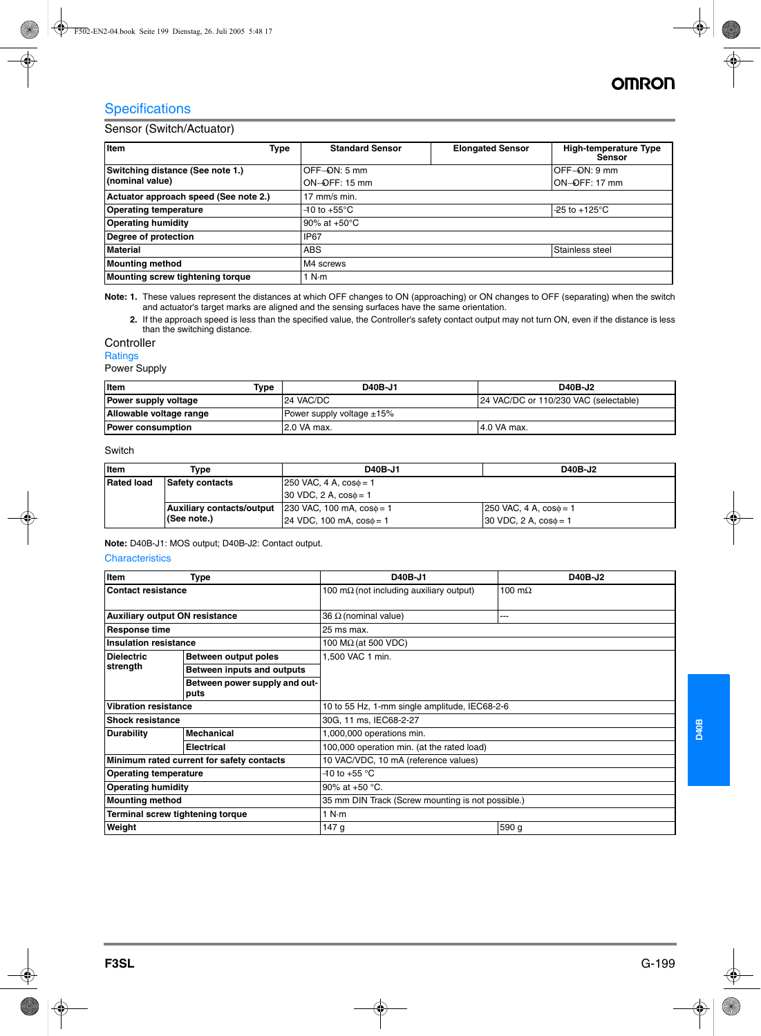# **Specifications**

# Sensor (Switch/Actuator)

| Item<br>Type                          | <b>Standard Sensor</b>   | <b>Elongated Sensor</b> | <b>High-temperature Type</b><br><b>Sensor</b> |
|---------------------------------------|--------------------------|-------------------------|-----------------------------------------------|
| Switching distance (See note 1.)      | OFF-ON: 5 mm             |                         | OFF-ON: 9 mm                                  |
| (nominal value)                       | $ON$ $ QFF$ : 15 mm      |                         | ON-OFF: 17 mm                                 |
| Actuator approach speed (See note 2.) | 17 mm/s min.             |                         |                                               |
| <b>Operating temperature</b>          | $-10$ to $+55^{\circ}$ C |                         | $-25$ to +125 °C                              |
| <b>Operating humidity</b>             | 90% at $+50^{\circ}$ C   |                         |                                               |
| Degree of protection                  | <b>IP67</b>              |                         |                                               |
| <b>Material</b>                       | <b>ABS</b>               |                         | Stainless steel                               |
| <b>Mounting method</b>                | M4 screws                |                         |                                               |
| Mounting screw tightening torque      | 1 N·m                    |                         |                                               |

**Note: 1.** These values represent the distances at which OFF changes to ON (approaching) or ON changes to OFF (separating) when the switch and actuator's target marks are aligned and the sensing surfaces have the same orientation.

**2.** If the approach speed is less than the specified value, the Controller's safety contact output may not turn ON, even if the distance is less than the switching distance.

# **Controller**

#### Ratings

Power Supply

| <b>I</b> tem             | Type | D40B-J1                                            | D40B-J2      |
|--------------------------|------|----------------------------------------------------|--------------|
| Power supply voltage     |      | 24 VAC/DC<br>24 VAC/DC or 110/230 VAC (selectable) |              |
| Allowable voltage range  |      | Power supply voltage $\pm 15\%$                    |              |
| <b>Power consumption</b> |      | 12.0 VA max.                                       | 14.0 VA max. |

# Switch

| <b>I</b> tem                                                                                        | Tvpe                             | D40B-J1                          | D40B-J2                                        |
|-----------------------------------------------------------------------------------------------------|----------------------------------|----------------------------------|------------------------------------------------|
| <b>Rated load</b><br>$250$ VAC, 4 A, $cos\phi = 1$<br>Safety contacts<br>30 VDC, 2 A, $cos\phi = 1$ |                                  |                                  |                                                |
|                                                                                                     |                                  |                                  |                                                |
|                                                                                                     | <b>Auxiliary contacts/output</b> | $230$ VAC, 100 mA, $cos\phi = 1$ | $ 250 \text{ VAC}, 4 \text{ A}, \cos \phi = 1$ |
|                                                                                                     | $ $ (See note.)                  | $24$ VDC, 100 mA, $cos\phi = 1$  | $30$ VDC, 2 A, $cos\phi = 1$                   |

**Note:** D40B-J1: MOS output; D40B-J2: Contact output.

#### **Characteristics**

| Item                                      | <b>Type</b>                           | D40B-J1                                           | D40B-J2        |  |
|-------------------------------------------|---------------------------------------|---------------------------------------------------|----------------|--|
| Contact resistance                        |                                       | 100 m $\Omega$ (not including auxiliary output)   | 100 m $\Omega$ |  |
|                                           |                                       |                                                   |                |  |
| <b>Auxiliary output ON resistance</b>     |                                       | 36 $\Omega$ (nominal value)                       | ---            |  |
| <b>Response time</b>                      |                                       | 25 ms max.                                        |                |  |
| <b>Insulation resistance</b>              |                                       | 100 $M\Omega$ (at 500 VDC)                        |                |  |
| <b>Dielectric</b>                         | Between output poles                  | 1.500 VAC 1 min.                                  |                |  |
| strength                                  | Between inputs and outputs            |                                                   |                |  |
|                                           | Between power supply and out-<br>puts |                                                   |                |  |
| <b>Vibration resistance</b>               |                                       | 10 to 55 Hz, 1-mm single amplitude, IEC68-2-6     |                |  |
| <b>Shock resistance</b>                   |                                       | 30G, 11 ms, IEC68-2-27                            |                |  |
| <b>Durability</b>                         | <b>Mechanical</b>                     | 1,000,000 operations min.                         |                |  |
|                                           | <b>Electrical</b>                     | 100,000 operation min. (at the rated load)        |                |  |
| Minimum rated current for safety contacts |                                       | 10 VAC/VDC, 10 mA (reference values)              |                |  |
| <b>Operating temperature</b>              |                                       | $-10$ to $+55$ °C                                 |                |  |
| <b>Operating humidity</b>                 |                                       | 90% at +50 $^{\circ}$ C.                          |                |  |
| <b>Mounting method</b>                    |                                       | 35 mm DIN Track (Screw mounting is not possible.) |                |  |
| Terminal screw tightening torque          |                                       | 1 N·m                                             |                |  |
| Weight                                    |                                       | 147 g                                             | 590 g          |  |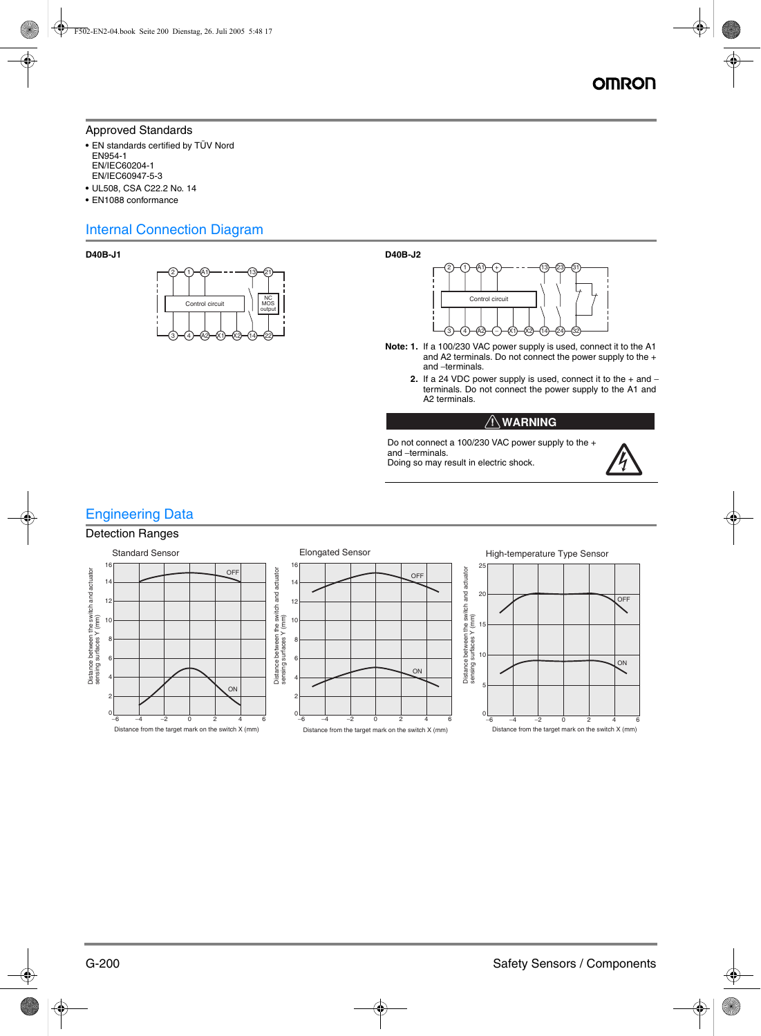# Approved Standards

- **•** EN standards certified by TÜV Nord EN954-1 EN/IEC60204-1 EN/IEC60947-5-3
- **•** UL508, CSA C22.2 No. 14
- **•** EN1088 conformance

# Internal Connection Diagram





- **Note: 1.** If a 100/230 VAC power supply is used, connect it to the A1 and A2 terminals. Do not connect the power supply to the + and - terminals.
	- **2.** If a 24 VDC power supply is used, connect it to the + and − terminals. Do not connect the power supply to the A1 and A2 terminals.

# $\bigwedge \mathsf{WARMING}$

Do not connect a 100/230 VAC power supply to the + and - terminals. Doing so may result in electric shock.

# Engineering Data

# Detection Ranges

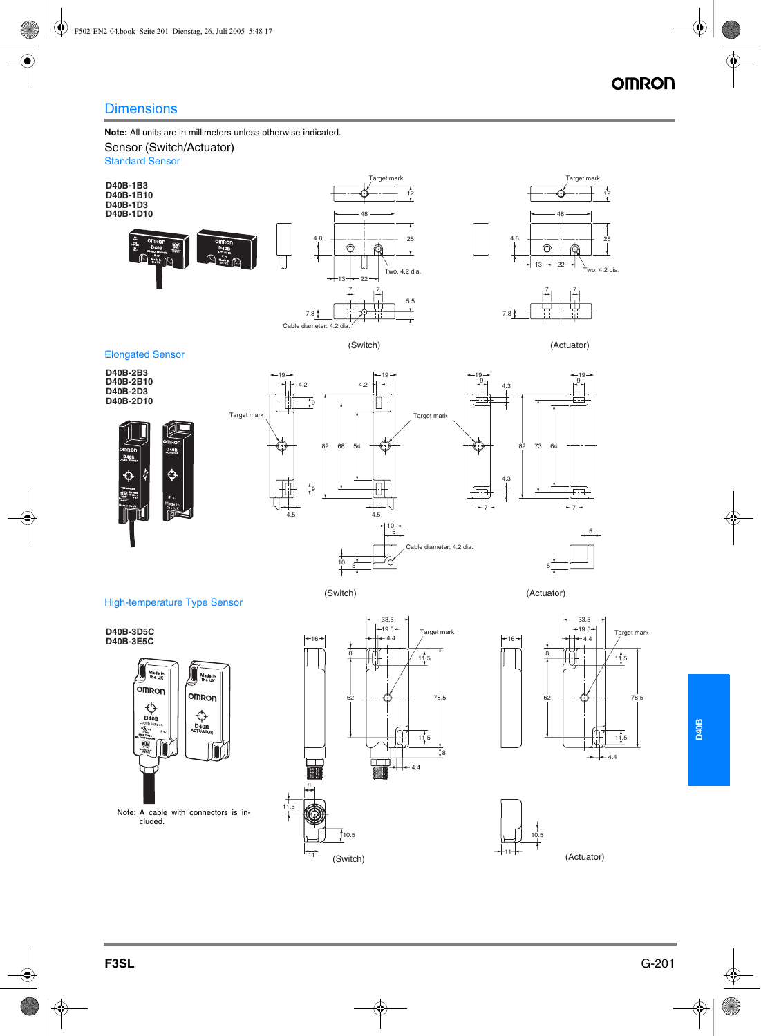# **Dimensions**

**Note:** All units are in millimeters unless otherwise indicated.

#### Sensor (Switch/Actuator)

Standard Sensor



Target mark





Elongated Sensor

**D40B-2B3 D40B-2B10 D40B-2D3 D40B-2D10**







(Switch) (Actuator)

(Switch) (Actuator)



High-temperature Type Sensor

**D40B-3E5C**



33.5  $-19.5-$ **D40B-3D5C** Target mark Target mark Target mark Target mark Target mark Target mark Target mark Target mark Target mark  $-16 -4.4$ 8 8  $11.5$ 62 78.5 F  $11.5$ 8  $\overline{\mathbb{F}}$  $\overline{A}$ 11.5  $\frac{1}{1}$ 10.5 ₩

 $\overrightarrow{11}$ 

 $\overline{\phantom{a}}$ 





**D40B**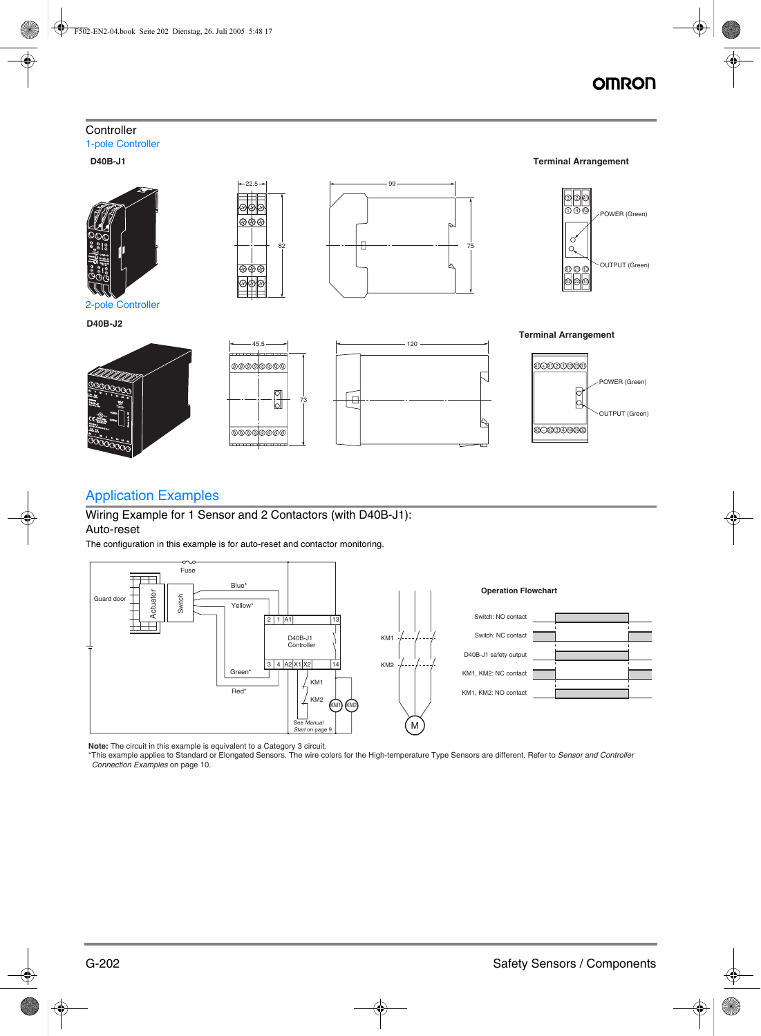# **OMROI**

# **Controller** 1-pole Controller



2-pole Controller

**D40B-J2**







 $22.5 \rightarrow$  99

**D40B-J1 Terminal Arrangement**



45.5

ାଡଡ⊚

 $\boxed{\circ \phi \circ}$ <u>|ଡଡଡ</u>



**Terminal Arrangement**



# Application Examples

Wiring Example for 1 Sensor and 2 Contactors (with D40B-J1): Auto-reset

The configuration in this example is for auto-reset and contactor monitoring.



**Note:** The circuit in this example is equivalent to a Category 3 circuit.

\*This example applies to Standard or Elongated Sensors. The wire colors for the High-temperature Type Sensors are different. Refer to *Sensor and Controller Connection Examples* on page 10.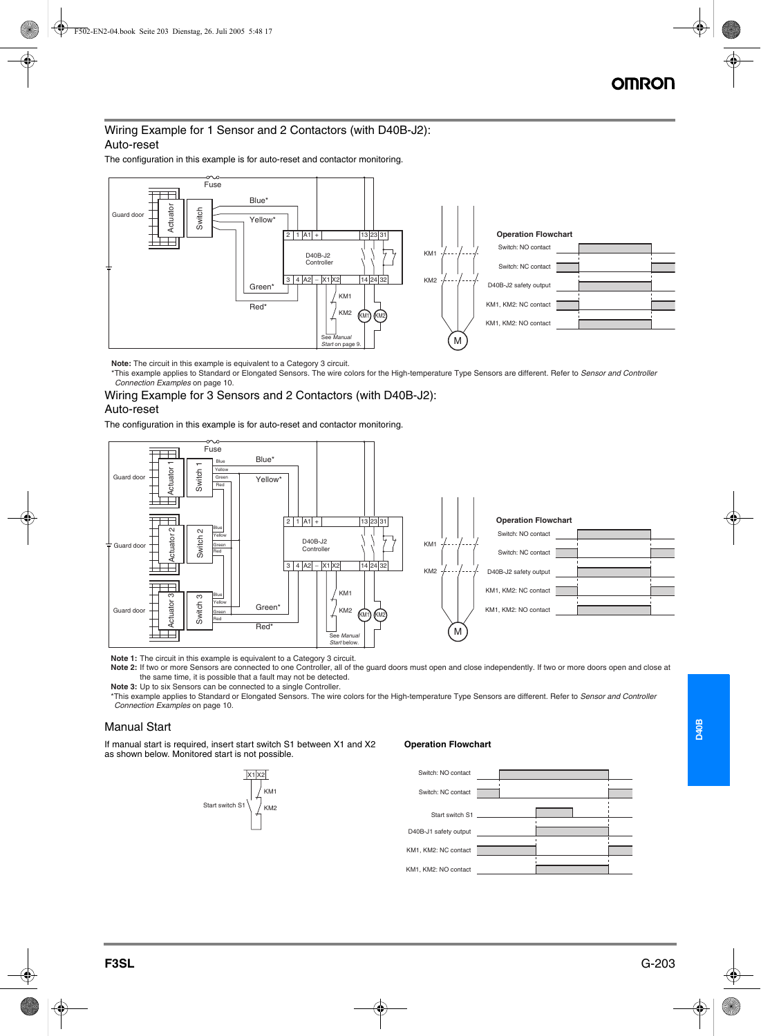# Wiring Example for 1 Sensor and 2 Contactors (with D40B-J2): Auto-reset

The configuration in this example is for auto-reset and contactor monitoring.



**Note:** The circuit in this example is equivalent to a Category 3 circuit.

\*This example applies to Standard or Elongated Sensors. The wire colors for the High-temperature Type Sensors are different. Refer to *Sensor and Controller Connection Examples* on page 10.

# Wiring Example for 3 Sensors and 2 Contactors (with D40B-J2):

# Auto-reset

The configuration in this example is for auto-reset and contactor monitoring.



**Note 1:** The circuit in this example is equivalent to a Category 3 circuit.

Note 2: If two or more Sensors are connected to one Controller, all of the guard doors must open and close independently. If two or more doors open and close at the same time, it is possible that a fault may not be detected.

**Note 3:** Up to six Sensors can be connected to a single Controller.

\*This example applies to Standard or Elongated Sensors. The wire colors for the High-temperature Type Sensors are different. Refer to *Sensor and Controller Connection Examples* on page 10.

# Manual Start

If manual start is required, insert start switch S1 between X1 and X2 as shown below. Monitored start is not possible.



#### **Operation Flowchart**

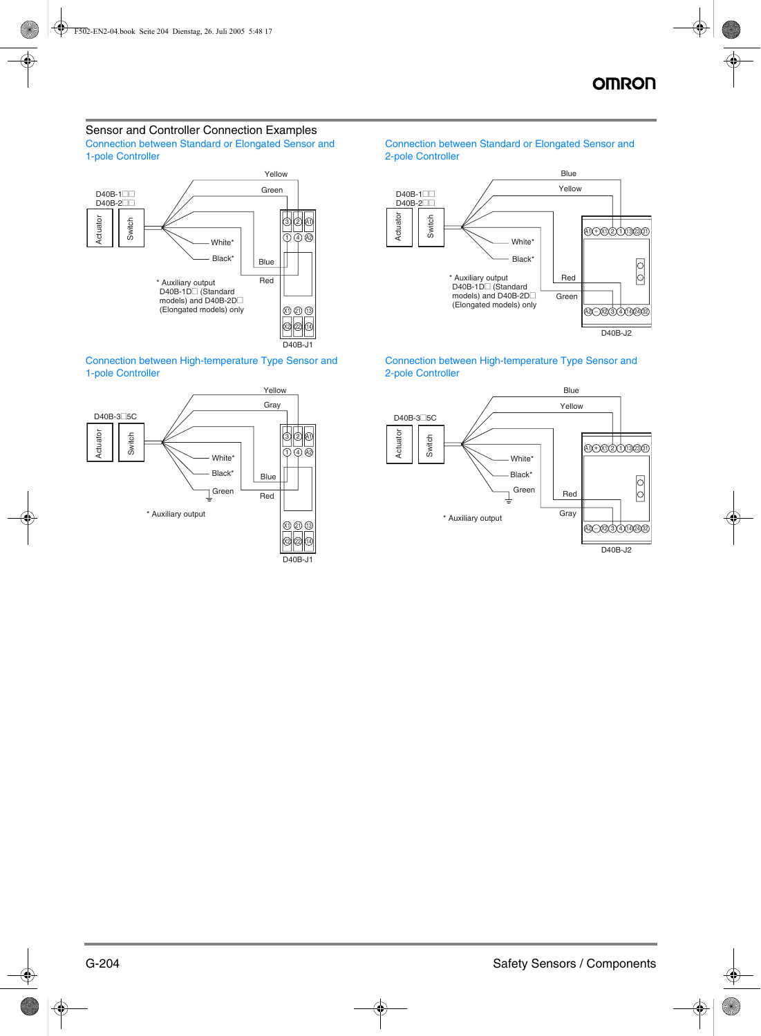## Sensor and Controller Connection Examples Connection between Standard or Elongated Sensor and

1-pole Controller



Connection between High-temperature Type Sensor and 1-pole Controller



## Connection between Standard or Elongated Sensor and 2-pole Controller



Connection between High-temperature Type Sensor and 2-pole Controller

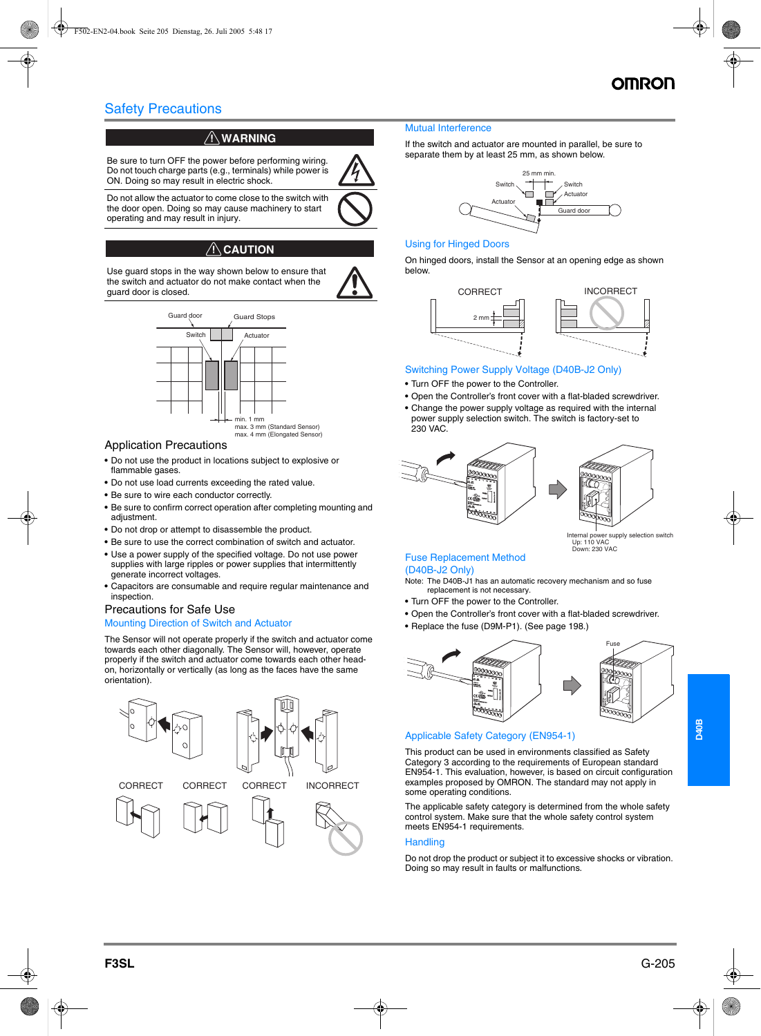# Safety Precautions

# $\bigwedge$  WARNING

Be sure to turn OFF the power before performing wiring. Do not touch charge parts (e.g., terminals) while power is ON. Doing so may result in electric shock.

Do not allow the actuator to come close to the switch with the door open. Doing so may cause machinery to start operating and may result in injury.

# $\land$  CAUTION

Use guard stops in the way shown below to ensure that the switch and actuator do not make contact when the guard door is closed.



# max. 3 mm (Standard Sensor) max. 4 mm (Elongated Sensor)

# Application Precautions

- **•** Do not use the product in locations subject to explosive or flammable gases.
- **•** Do not use load currents exceeding the rated value.
- **•** Be sure to wire each conductor correctly.
- **•** Be sure to confirm correct operation after completing mounting and adjustment.
- **•** Do not drop or attempt to disassemble the product.
- **•** Be sure to use the correct combination of switch and actuator.
- **•** Use a power supply of the specified voltage. Do not use power supplies with large ripples or power supplies that intermittently generate incorrect voltages.
- **•** Capacitors are consumable and require regular maintenance and inspection.

## Precautions for Safe Use

#### Mounting Direction of Switch and Actuator

The Sensor will not operate properly if the switch and actuator come towards each other diagonally. The Sensor will, however, operate properly if the switch and actuator come towards each other headon, horizontally or vertically (as long as the faces have the same orientation).



#### Mutual Interference

If the switch and actuator are mounted in parallel, be sure to separate them by at least 25 mm, as shown below.



# Using for Hinged Doors

On hinged doors, install the Sensor at an opening edge as shown below.



#### Switching Power Supply Voltage (D40B-J2 Only)

- **•** Turn OFF the power to the Controller.
- **•** Open the Controller's front cover with a flat-bladed screwdriver.
- **•** Change the power supply voltage as required with the internal power supply selection switch. The switch is factory-set to 230 VAC.



nly selection switch Up: 110 VAC Down: 230 VAC

# Fuse Replacement Method (D40B-J2 Only)

Note: The D40B-J1 has an automatic recovery mechanism and so fuse replacement is not necessary.

- **•** Turn OFF the power to the Controller.
- **•** Open the Controller's front cover with a flat-bladed screwdriver.
- **•** Replace the fuse (D9M-P1). (See page 198.)



## Applicable Safety Category (EN954-1)

This product can be used in environments classified as Safety Category 3 according to the requirements of European standard EN954-1. This evaluation, however, is based on circuit configuration examples proposed by OMRON. The standard may not apply in some operating conditions.

The applicable safety category is determined from the whole safety control system. Make sure that the whole safety control system meets EN954-1 requirements.

#### **Handling**

Do not drop the product or subject it to excessive shocks or vibration. Doing so may result in faults or malfunctions.